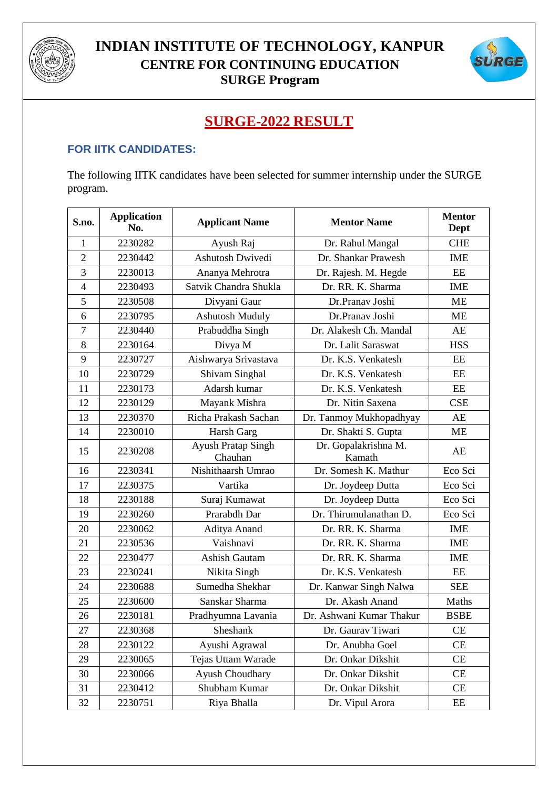



## **SURGE-2022 RESULT**

## **FOR IITK CANDIDATES:**

The following IITK candidates have been selected for summer internship under the SURGE program.

| S.no.          | <b>Application</b><br>No. | <b>Applicant Name</b>                | <b>Mentor Name</b>             | <b>Mentor</b><br>Dept |
|----------------|---------------------------|--------------------------------------|--------------------------------|-----------------------|
| 1              | 2230282                   | Ayush Raj                            | Dr. Rahul Mangal               | <b>CHE</b>            |
| $\overline{2}$ | 2230442                   | Ashutosh Dwivedi                     | Dr. Shankar Prawesh            | <b>IME</b>            |
| 3              | 2230013                   | Ananya Mehrotra                      | Dr. Rajesh. M. Hegde           | $\rm{EE}$             |
| $\overline{4}$ | 2230493                   | Satvik Chandra Shukla                | Dr. RR. K. Sharma              | <b>IME</b>            |
| 5              | 2230508                   | Divyani Gaur                         | Dr.Pranav Joshi                | <b>ME</b>             |
| 6              | 2230795                   | <b>Ashutosh Muduly</b>               | Dr.Pranav Joshi                | <b>ME</b>             |
| $\overline{7}$ | 2230440                   | Prabuddha Singh                      | Dr. Alakesh Ch. Mandal         | AE                    |
| 8              | 2230164                   | Divya M                              | Dr. Lalit Saraswat             | <b>HSS</b>            |
| 9              | 2230727                   | Aishwarya Srivastava                 | Dr. K.S. Venkatesh             | EE                    |
| 10             | 2230729                   | Shivam Singhal                       | Dr. K.S. Venkatesh             | EE                    |
| 11             | 2230173                   | Adarsh kumar                         | Dr. K.S. Venkatesh             | EE                    |
| 12             | 2230129                   | Mayank Mishra                        | Dr. Nitin Saxena               | <b>CSE</b>            |
| 13             | 2230370                   | Richa Prakash Sachan                 | Dr. Tanmoy Mukhopadhyay        | AE                    |
| 14             | 2230010                   | Harsh Garg                           | Dr. Shakti S. Gupta            | <b>ME</b>             |
| 15             | 2230208                   | <b>Ayush Pratap Singh</b><br>Chauhan | Dr. Gopalakrishna M.<br>Kamath | AE                    |
| 16             | 2230341                   | Nishithaarsh Umrao                   | Dr. Somesh K. Mathur           | Eco Sci               |
| 17             | 2230375                   | Vartika                              | Dr. Joydeep Dutta              | Eco Sci               |
| 18             | 2230188                   | Suraj Kumawat                        | Dr. Joydeep Dutta              | Eco Sci               |
| 19             | 2230260                   | Prarabdh Dar                         | Dr. Thirumulanathan D.         | Eco Sci               |
| 20             | 2230062                   | Aditya Anand                         | Dr. RR. K. Sharma              | <b>IME</b>            |
| 21             | 2230536                   | Vaishnavi                            | Dr. RR. K. Sharma              | <b>IME</b>            |
| 22             | 2230477                   | <b>Ashish Gautam</b>                 | Dr. RR. K. Sharma              | <b>IME</b>            |
| 23             | 2230241                   | Nikita Singh                         | Dr. K.S. Venkatesh             | EE                    |
| 24             | 2230688                   | Sumedha Shekhar                      | Dr. Kanwar Singh Nalwa         | <b>SEE</b>            |
| 25             | 2230600                   | Sanskar Sharma                       | Dr. Akash Anand                | Maths                 |
| 26             | 2230181                   | Pradhyumna Lavania                   | Dr. Ashwani Kumar Thakur       | <b>BSBE</b>           |
| 27             | 2230368                   | Sheshank                             | Dr. Gaurav Tiwari              | <b>CE</b>             |
| 28             | 2230122                   | Ayushi Agrawal                       | Dr. Anubha Goel                | CE                    |
| 29             | 2230065                   | Tejas Uttam Warade                   | Dr. Onkar Dikshit              | CE                    |
| 30             | 2230066                   | Ayush Choudhary                      | Dr. Onkar Dikshit              | CE                    |
| 31             | 2230412                   | Shubham Kumar                        | Dr. Onkar Dikshit              | CE                    |
| 32             | 2230751                   | Riya Bhalla                          | Dr. Vipul Arora                | EE                    |